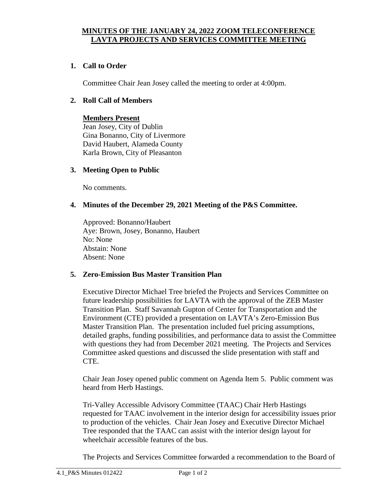### **MINUTES OF THE JANUARY 24, 2022 ZOOM TELECONFERENCE LAVTA PROJECTS AND SERVICES COMMITTEE MEETING**

## **1. Call to Order**

Committee Chair Jean Josey called the meeting to order at 4:00pm.

#### **2. Roll Call of Members**

# **Members Present**

Jean Josey, City of Dublin Gina Bonanno, City of Livermore David Haubert, Alameda County Karla Brown, City of Pleasanton

#### **3. Meeting Open to Public**

No comments.

#### **4. Minutes of the December 29, 2021 Meeting of the P&S Committee.**

Approved: Bonanno/Haubert Aye: Brown, Josey, Bonanno, Haubert No: None Abstain: None Absent: None

#### **5. Zero-Emission Bus Master Transition Plan**

Executive Director Michael Tree briefed the Projects and Services Committee on future leadership possibilities for LAVTA with the approval of the ZEB Master Transition Plan. Staff Savannah Gupton of Center for Transportation and the Environment (CTE) provided a presentation on LAVTA's Zero-Emission Bus Master Transition Plan. The presentation included fuel pricing assumptions, detailed graphs, funding possibilities, and performance data to assist the Committee with questions they had from December 2021 meeting. The Projects and Services Committee asked questions and discussed the slide presentation with staff and CTE.

Chair Jean Josey opened public comment on Agenda Item 5. Public comment was heard from Herb Hastings.

Tri-Valley Accessible Advisory Committee (TAAC) Chair Herb Hastings requested for TAAC involvement in the interior design for accessibility issues prior to production of the vehicles. Chair Jean Josey and Executive Director Michael Tree responded that the TAAC can assist with the interior design layout for wheelchair accessible features of the bus.

The Projects and Services Committee forwarded a recommendation to the Board of